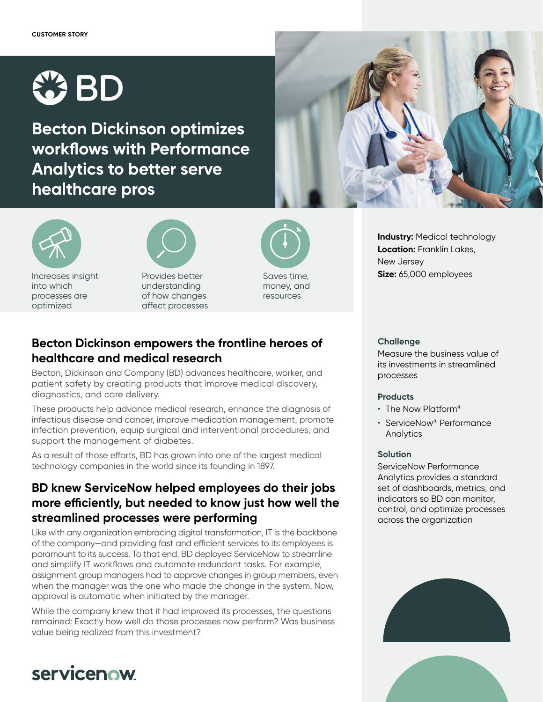

**Becton Dickinson optimizes workflows with Performance Analytics to better serve healthcare pros**





Increases insight into which processes are optimized



Provides better understanding of how changes affect processes



money, and resources

### **Becton Dickinson empowers the frontline heroes of healthcare and medical research**

Becton, Dickinson and Company (BD) advances healthcare, worker, and patient safety by creating products that improve medical discovery, diagnostics, and care delivery.

These products help advance medical research, enhance the diagnosis of infectious disease and cancer, improve medication management, promote infection prevention, equip surgical and interventional procedures, and support the management of diabetes.

As a result of those efforts, BD has grown into one of the largest medical technology companies in the world since its founding in 1897.

## **BD knew ServiceNow helped employees do their jobs more efficiently, but needed to know just how well the streamlined processes were performing**

Like with any organization embracing digital transformation, IT is the backbone of the company—and providing fast and efficient services to its employees is paramount to its success. To that end, BD deployed ServiceNow to streamline and simplify IT workflows and automate redundant tasks. For example, assignment group managers had to approve changes in group members, even when the manager was the one who made the change in the system. Now, approval is automatic when initiated by the manager.

While the company knew that it had improved its processes, the questions remained: Exactly how well do those processes now perform? Was business value being realized from this investment?

#### **Challenge**

New Jersey

Measure the business value of its investments in streamlined processes

**Industry:** Medical technology **Location:** Franklin Lakes,

**Size:** 65,000 employees

#### **Products**

- The Now Platform®
- ServiceNow® Performance Analytics

#### **Solution**

ServiceNow Performance Analytics provides a standard set of dashboards, metrics, and indicators so BD can monitor, control, and optimize processes across the organization



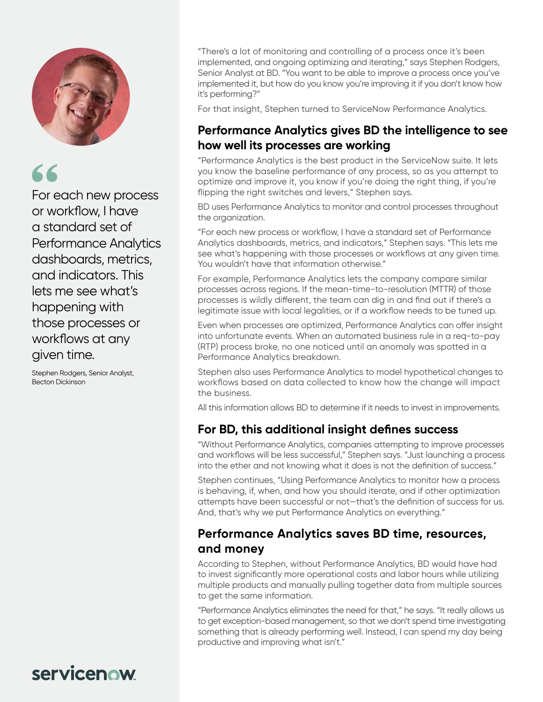

# 66

For each new process or workflow, I have a standard set of Performance Analytics dashboards, metrics, and indicators. This lets me see what's happening with those processes or workflows at any given time.

Stephen Rodgers, Senior Analyst, Becton Dickinson

"There's a lot of monitoring and controlling of a process once it's been implemented, and ongoing optimizing and iterating," says Stephen Rodgers, Senior Analyst at BD. "You want to be able to improve a process once you've implemented it, but how do you know you're improving it if you don't know how it's performing?"

For that insight, Stephen turned to ServiceNow Performance Analytics.

### **Performance Analytics gives BD the intelligence to see how well its processes are working**

"Performance Analytics is the best product in the ServiceNow suite. It lets you know the baseline performance of any process, so as you attempt to optimize and improve it, you know if you're doing the right thing, if you're flipping the right switches and levers," Stephen says.

BD uses Performance Analytics to monitor and control processes throughout the organization.

"For each new process or workflow, I have a standard set of Performance Analytics dashboards, metrics, and indicators," Stephen says. "This lets me see what's happening with those processes or workflows at any given time. You wouldn't have that information otherwise."

For example, Performance Analytics lets the company compare similar processes across regions. If the mean-time-to-resolution (MTTR) of those processes is wildly different, the team can dig in and find out if there's a legitimate issue with local legalities, or if a workflow needs to be tuned up.

Even when processes are optimized, Performance Analytics can offer insight into unfortunate events. When an automated business rule in a req-to-pay (RTP) process broke, no one noticed until an anomaly was spotted in a Performance Analytics breakdown.

Stephen also uses Performance Analytics to model hypothetical changes to workflows based on data collected to know how the change will impact the business.

All this information allows BD to determine if it needs to invest in improvements.

### **For BD, this additional insight defines success**

"Without Performance Analytics, companies attempting to improve processes and workflows will be less successful," Stephen says. "Just launching a process into the ether and not knowing what it does is not the definition of success."

Stephen continues, "Using Performance Analytics to monitor how a process is behaving, if, when, and how you should iterate, and if other optimization attempts have been successful or not—that's the definition of success for us. And, that's why we put Performance Analytics on everything."

### **Performance Analytics saves BD time, resources, and money**

According to Stephen, without Performance Analytics, BD would have had to invest significantly more operational costs and labor hours while utilizing multiple products and manually pulling together data from multiple sources to get the same information.

"Performance Analytics eliminates the need for that," he says. "It really allows us to get exception-based management, so that we don't spend time investigating something that is already performing well. Instead, I can spend my day being productive and improving what isn't."

## servicenow